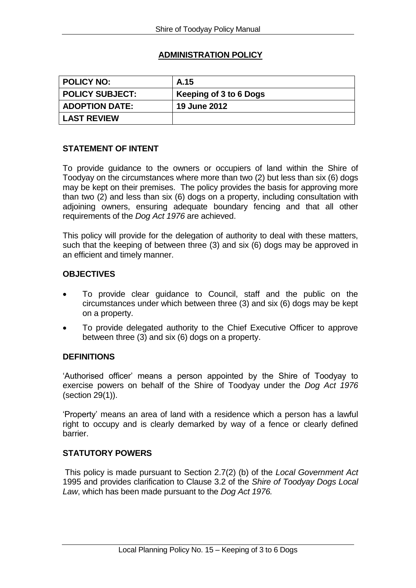# **ADMINISTRATION POLICY**

| <b>POLICY NO:</b>     | A.15                   |
|-----------------------|------------------------|
| POLICY SUBJECT:       | Keeping of 3 to 6 Dogs |
| <b>ADOPTION DATE:</b> | <b>19 June 2012</b>    |
| <b>LAST REVIEW</b>    |                        |

## **STATEMENT OF INTENT**

To provide guidance to the owners or occupiers of land within the Shire of Toodyay on the circumstances where more than two (2) but less than six (6) dogs may be kept on their premises. The policy provides the basis for approving more than two (2) and less than six (6) dogs on a property, including consultation with adjoining owners, ensuring adequate boundary fencing and that all other requirements of the *Dog Act 1976* are achieved.

This policy will provide for the delegation of authority to deal with these matters, such that the keeping of between three (3) and six (6) dogs may be approved in an efficient and timely manner.

## **OBJECTIVES**

- To provide clear guidance to Council, staff and the public on the circumstances under which between three (3) and six (6) dogs may be kept on a property.
- To provide delegated authority to the Chief Executive Officer to approve between three (3) and six (6) dogs on a property.

## **DEFINITIONS**

'Authorised officer' means a person appointed by the Shire of Toodyay to exercise powers on behalf of the Shire of Toodyay under the *Dog Act 1976* (section 29(1)).

'Property' means an area of land with a residence which a person has a lawful right to occupy and is clearly demarked by way of a fence or clearly defined barrier.

## **STATUTORY POWERS**

This policy is made pursuant to Section 2.7(2) (b) of the *Local Government Act*  1995 and provides clarification to Clause 3.2 of the *Shire of Toodyay Dogs Local Law*, which has been made pursuant to the *Dog Act 1976.*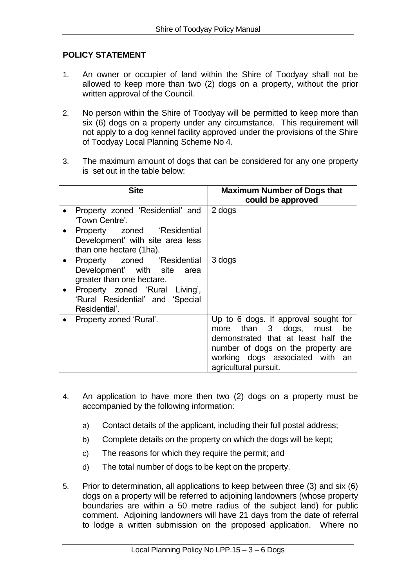## **POLICY STATEMENT**

- 1. An owner or occupier of land within the Shire of Toodyay shall not be allowed to keep more than two (2) dogs on a property, without the prior written approval of the Council.
- 2. No person within the Shire of Toodyay will be permitted to keep more than six (6) dogs on a property under any circumstance. This requirement will not apply to a dog kennel facility approved under the provisions of the Shire of Toodyay Local Planning Scheme No 4.
- 3. The maximum amount of dogs that can be considered for any one property is set out in the table below:

| <b>Site</b>                                                                                                                                                                    | <b>Maximum Number of Dogs that</b><br>could be approved                                                                                                                                                    |
|--------------------------------------------------------------------------------------------------------------------------------------------------------------------------------|------------------------------------------------------------------------------------------------------------------------------------------------------------------------------------------------------------|
| Property zoned 'Residential' and<br>'Town Centre'.<br>Property zoned 'Residential<br>$\bullet$<br>Development' with site area less<br>than one hectare (1ha).                  | 2 dogs                                                                                                                                                                                                     |
| Property zoned 'Residential<br>Development' with site area<br>greater than one hectare.<br>Property zoned 'Rural Living',<br>'Rural Residential' and 'Special<br>Residential'. | 3 dogs                                                                                                                                                                                                     |
| Property zoned 'Rural'.                                                                                                                                                        | Up to 6 dogs. If approval sought for<br>more than 3 dogs, must be<br>demonstrated that at least half the<br>number of dogs on the property are<br>working dogs associated with an<br>agricultural pursuit. |

- 4. An application to have more then two (2) dogs on a property must be accompanied by the following information:
	- a) Contact details of the applicant, including their full postal address;
	- b) Complete details on the property on which the dogs will be kept;
	- c) The reasons for which they require the permit; and
	- d) The total number of dogs to be kept on the property.
- 5. Prior to determination, all applications to keep between three (3) and six (6) dogs on a property will be referred to adjoining landowners (whose property boundaries are within a 50 metre radius of the subject land) for public comment. Adjoining landowners will have 21 days from the date of referral to lodge a written submission on the proposed application. Where no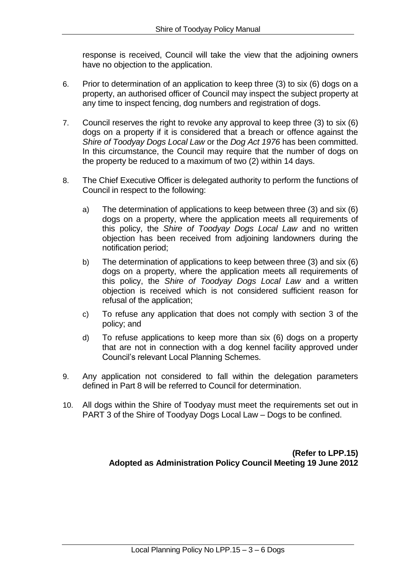response is received, Council will take the view that the adjoining owners have no objection to the application.

- 6. Prior to determination of an application to keep three (3) to six (6) dogs on a property, an authorised officer of Council may inspect the subject property at any time to inspect fencing, dog numbers and registration of dogs.
- 7. Council reserves the right to revoke any approval to keep three (3) to six (6) dogs on a property if it is considered that a breach or offence against the *Shire of Toodyay Dogs Local Law* or the *Dog Act 1976* has been committed. In this circumstance, the Council may require that the number of dogs on the property be reduced to a maximum of two (2) within 14 days.
- 8. The Chief Executive Officer is delegated authority to perform the functions of Council in respect to the following:
	- a) The determination of applications to keep between three (3) and six (6) dogs on a property, where the application meets all requirements of this policy, the *Shire of Toodyay Dogs Local Law* and no written objection has been received from adjoining landowners during the notification period;
	- b) The determination of applications to keep between three (3) and six (6) dogs on a property, where the application meets all requirements of this policy, the *Shire of Toodyay Dogs Local Law* and a written objection is received which is not considered sufficient reason for refusal of the application;
	- c) To refuse any application that does not comply with section 3 of the policy; and
	- d) To refuse applications to keep more than six (6) dogs on a property that are not in connection with a dog kennel facility approved under Council's relevant Local Planning Schemes.
- 9. Any application not considered to fall within the delegation parameters defined in Part 8 will be referred to Council for determination.
- 10. All dogs within the Shire of Toodyay must meet the requirements set out in PART 3 of the Shire of Toodyay Dogs Local Law – Dogs to be confined.

**(Refer to LPP.15) Adopted as Administration Policy Council Meeting 19 June 2012**